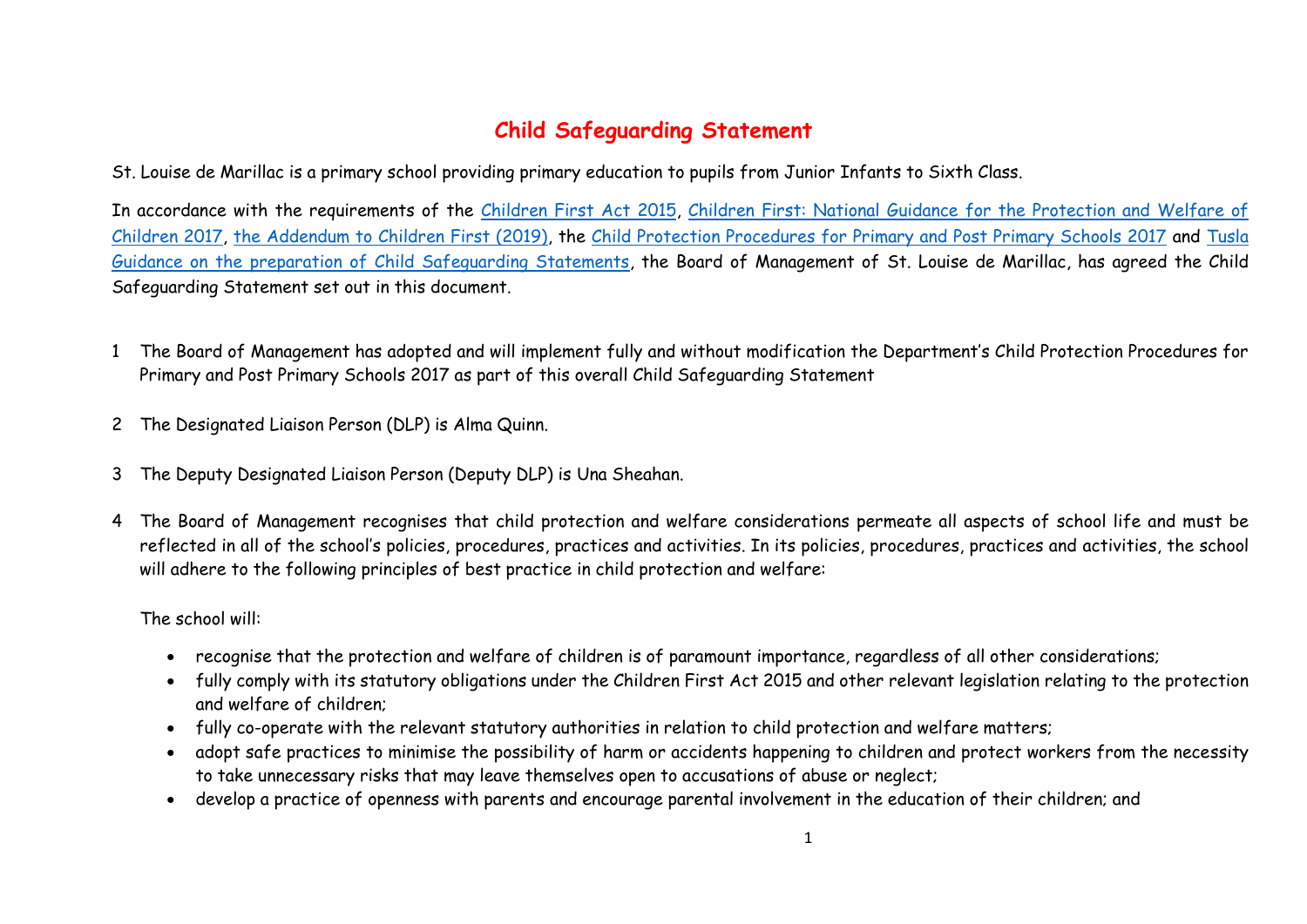## **Child Safeguarding Statement**

St. Louise de Marillac is a primary school providing primary education to pupils from Junior Infants to Sixth Class.

In accordance with the requirements of the [Children First Act 2015,](http://www.irishstatutebook.ie/eli/2015/act/36/enacted/en/pdf) Children First: National Guidance for the Protection and Welfare of [Children 2017,](https://assets.gov.ie/25844/b90aafa55804462f84d05f87f0ca2bf6.pdf) [the Addendum to Children First \(2019\),](https://assets.gov.ie/25819/c9744b64dfd6447985eeffa5c0d71bbb.pdf) the [Child Protection Procedures for Primary and Post Primary Schools 2017](https://www.gov.ie/pdf/?file=https://assets.gov.ie/45063/2d4b5b3d781e4ec1ab4f3e5d198717d9.pdf#page=1) and [Tusla](https://www.tusla.ie/uploads/content/4214-TUSLA_Guidance_on_Developing_a_CSS_LR.PDF)  [Guidance on the preparation of Child Safeguarding Statements,](https://www.tusla.ie/uploads/content/4214-TUSLA_Guidance_on_Developing_a_CSS_LR.PDF) the Board of Management of St. Louise de Marillac, has agreed the Child Safeguarding Statement set out in this document.

- 1 The Board of Management has adopted and will implement fully and without modification the Department's Child Protection Procedures for Primary and Post Primary Schools 2017 as part of this overall Child Safeguarding Statement
- 2 The Designated Liaison Person (DLP) is Alma Quinn.
- 3 The Deputy Designated Liaison Person (Deputy DLP) is Una Sheahan.
- 4 The Board of Management recognises that child protection and welfare considerations permeate all aspects of school life and must be reflected in all of the school's policies, procedures, practices and activities. In its policies, procedures, practices and activities, the school will adhere to the following principles of best practice in child protection and welfare:

The school will:

- recognise that the protection and welfare of children is of paramount importance, regardless of all other considerations;
- fully comply with its statutory obligations under the Children First Act 2015 and other relevant legislation relating to the protection and welfare of children;
- fully co-operate with the relevant statutory authorities in relation to child protection and welfare matters;
- adopt safe practices to minimise the possibility of harm or accidents happening to children and protect workers from the necessity to take unnecessary risks that may leave themselves open to accusations of abuse or neglect;
- develop a practice of openness with parents and encourage parental involvement in the education of their children; and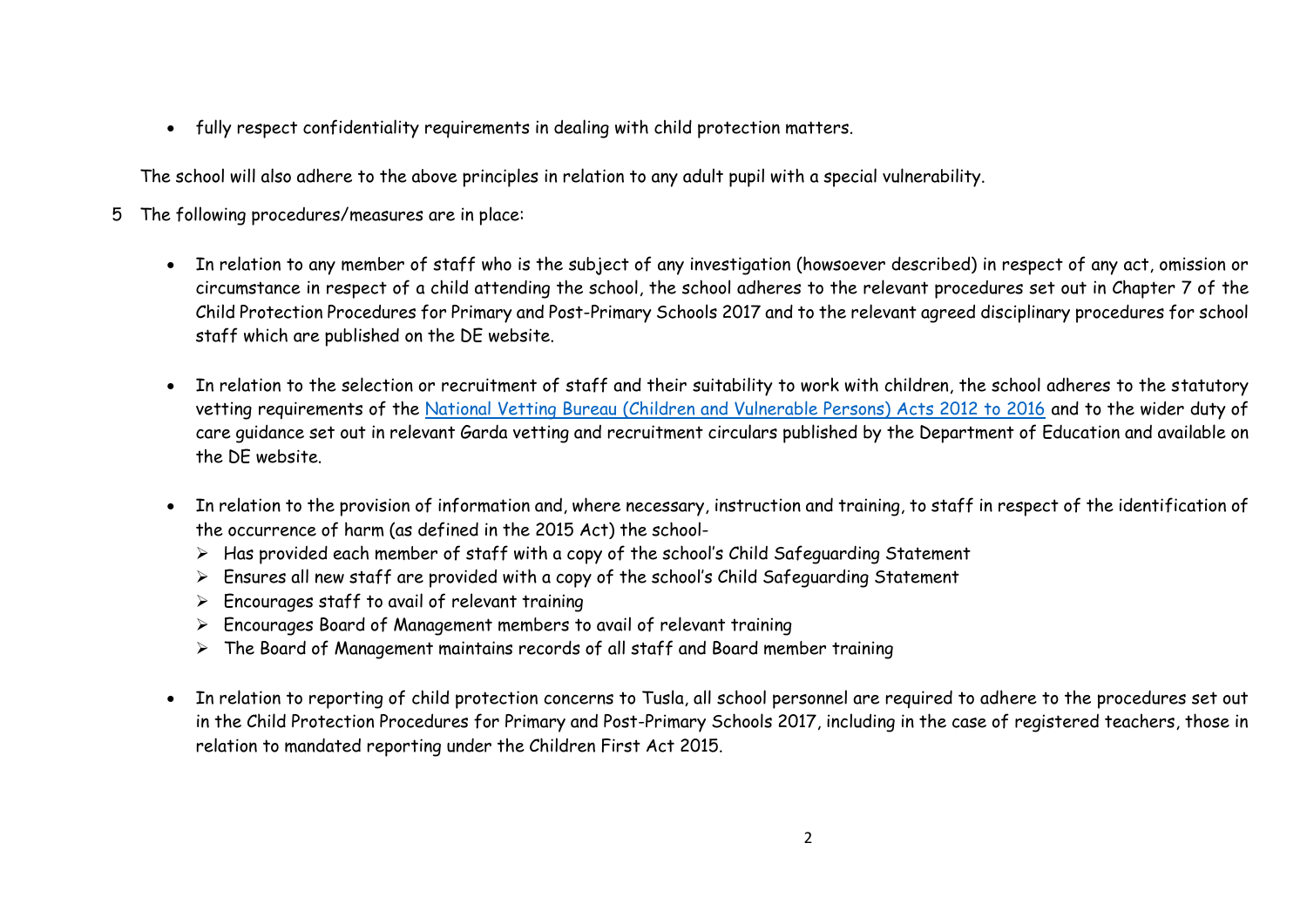fully respect confidentiality requirements in dealing with child protection matters.

The school will also adhere to the above principles in relation to any adult pupil with a special vulnerability.

- 5 The following procedures/measures are in place:
	- In relation to any member of staff who is the subject of any investigation (howsoever described) in respect of any act, omission or circumstance in respect of a child attending the school, the school adheres to the relevant procedures set out in Chapter 7 of the Child Protection Procedures for Primary and Post-Primary Schools 2017 and to the relevant agreed disciplinary procedures for school staff which are published on the DE website.
	- In relation to the selection or recruitment of staff and their suitability to work with children, the school adheres to the statutory vetting requirements of the [National Vetting Bureau \(Children and Vulnerable Persons\) Acts 2012 to 2016](https://revisedacts.lawreform.ie/eli/2012/act/47/revised/en/pdf) and to the wider duty of care guidance set out in relevant Garda vetting and recruitment circulars published by the Department of Education and available on the DE website.
	- In relation to the provision of information and, where necessary, instruction and training, to staff in respect of the identification of the occurrence of harm (as defined in the 2015 Act) the school-
		- $\triangleright$  Has provided each member of staff with a copy of the school's Child Safeguarding Statement
		- $\triangleright$  Ensures all new staff are provided with a copy of the school's Child Safeguarding Statement
		- $\triangleright$  Encourages staff to avail of relevant training
		- Encourages Board of Management members to avail of relevant training
		- $\triangleright$  The Board of Management maintains records of all staff and Board member training
	- In relation to reporting of child protection concerns to Tusla, all school personnel are required to adhere to the procedures set out in the Child Protection Procedures for Primary and Post-Primary Schools 2017, including in the case of registered teachers, those in relation to mandated reporting under the Children First Act 2015.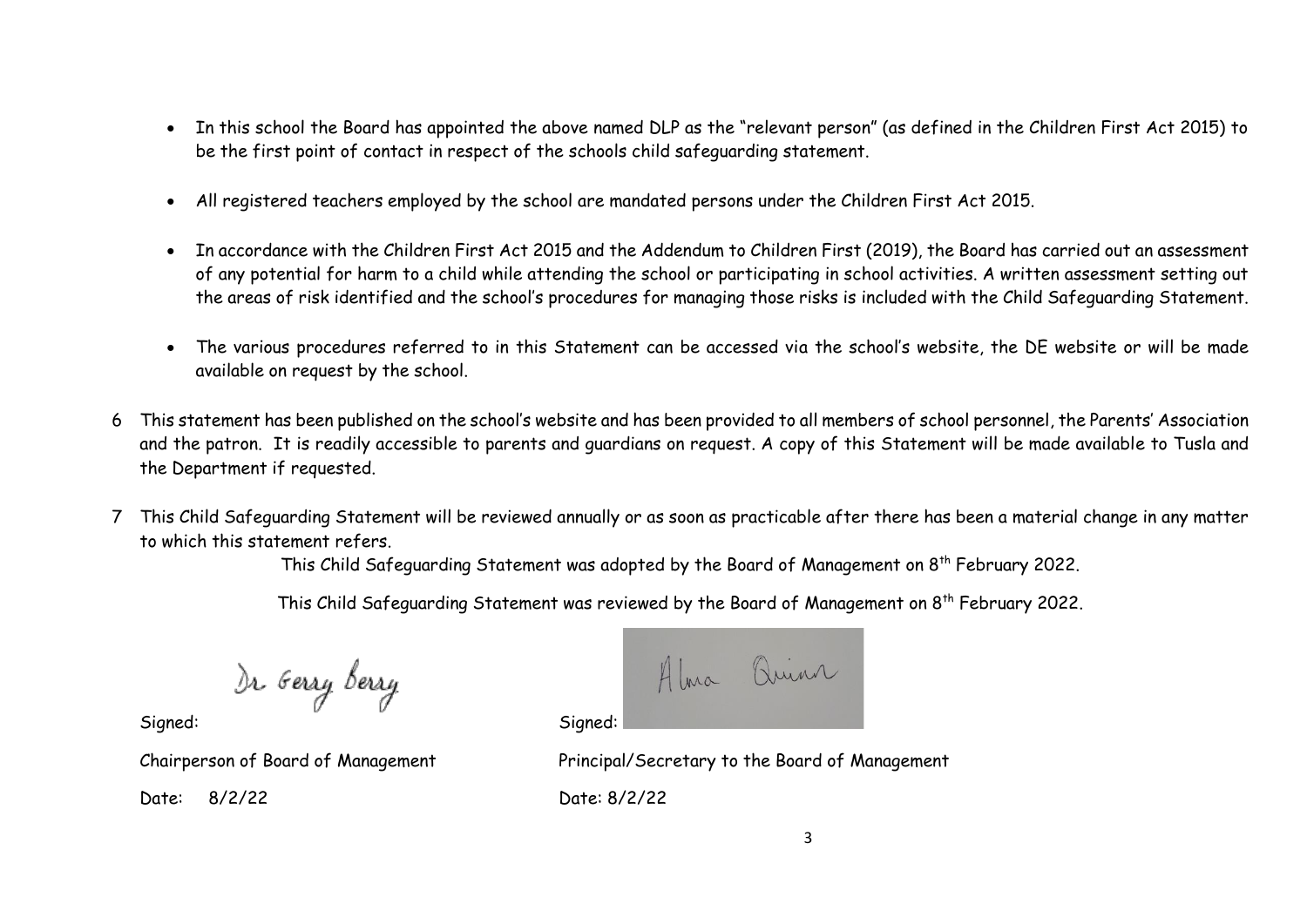- In this school the Board has appointed the above named DLP as the "relevant person" (as defined in the Children First Act 2015) to be the first point of contact in respect of the schools child safeguarding statement.
- All registered teachers employed by the school are mandated persons under the Children First Act 2015.
- In accordance with the Children First Act 2015 and the Addendum to Children First (2019), the Board has carried out an assessment of any potential for harm to a child while attending the school or participating in school activities. A written assessment setting out the areas of risk identified and the school's procedures for managing those risks is included with the Child Safeguarding Statement.
- The various procedures referred to in this Statement can be accessed via the school's website, the DE website or will be made available on request by the school.
- 6 This statement has been published on the school's website and has been provided to all members of school personnel, the Parents' Association and the patron. It is readily accessible to parents and guardians on request. A copy of this Statement will be made available to Tusla and the Department if requested.
- 7 This Child Safeguarding Statement will be reviewed annually or as soon as practicable after there has been a material change in any matter to which this statement refers.

This Child Safeguarding Statement was adopted by the Board of Management on 8<sup>th</sup> February 2022.

This Child Safeguarding Statement was reviewed by the Board of Management on 8<sup>th</sup> February 2022.

)r <sub>G</sub>erry berry

Alma Quinn

Signed: Signed:

Date: 8/2/22 Date: 8/2/22

Chairperson of Board of Management Principal/Secretary to the Board of Management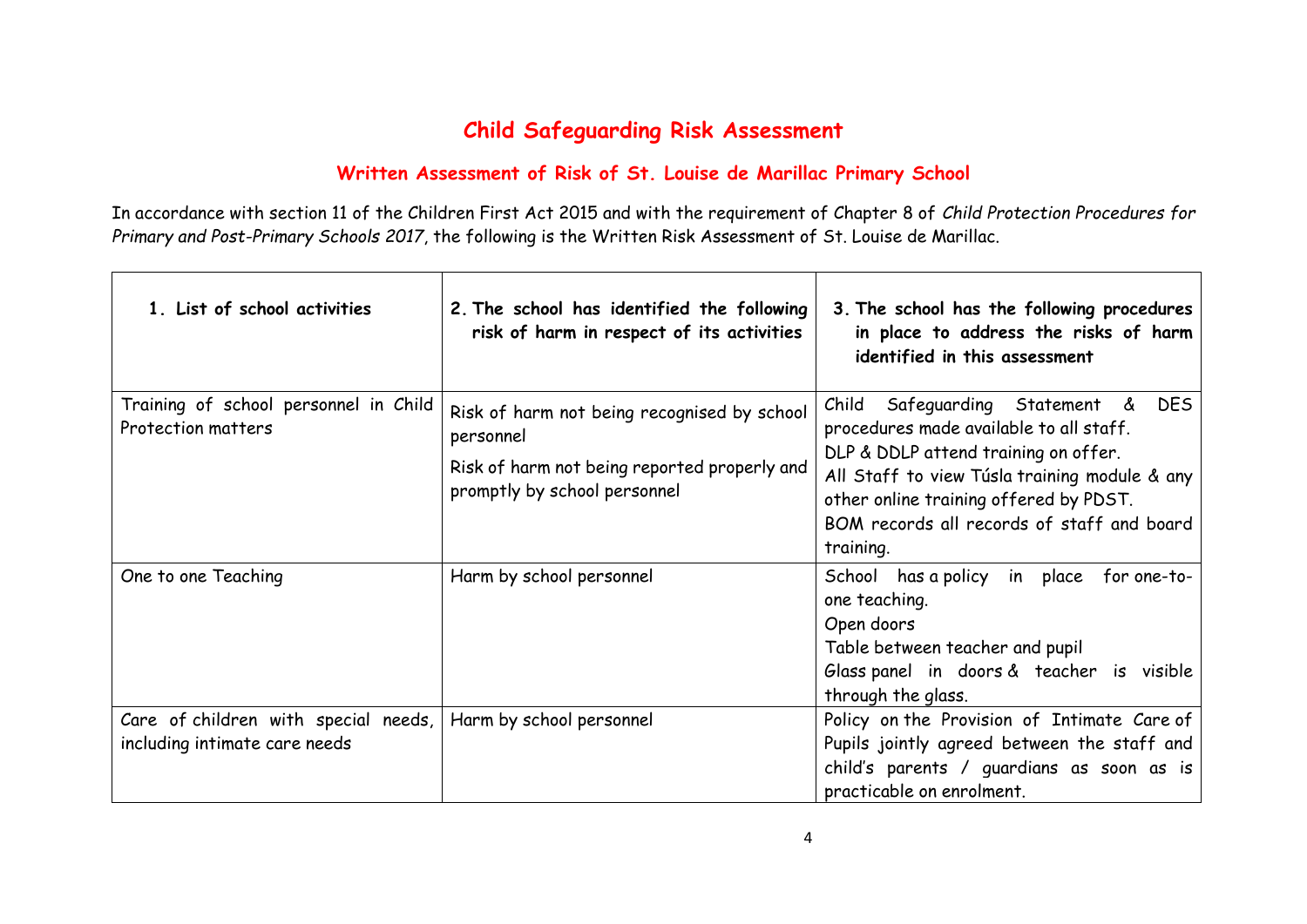## **Child Safeguarding Risk Assessment**

## **Written Assessment of Risk of St. Louise de Marillac Primary School**

In accordance with section 11 of the Children First Act 2015 and with the requirement of Chapter 8 of *Child Protection Procedures for Primary and Post-Primary Schools 2017*, the following is the Written Risk Assessment of St. Louise de Marillac.

| 1. List of school activities                                          | 2. The school has identified the following<br>risk of harm in respect of its activities                                                  | 3. The school has the following procedures<br>in place to address the risks of harm<br>identified in this assessment                                                                                                                                                                     |
|-----------------------------------------------------------------------|------------------------------------------------------------------------------------------------------------------------------------------|------------------------------------------------------------------------------------------------------------------------------------------------------------------------------------------------------------------------------------------------------------------------------------------|
| Training of school personnel in Child<br><b>Protection matters</b>    | Risk of harm not being recognised by school<br>personnel<br>Risk of harm not being reported properly and<br>promptly by school personnel | <b>DES</b><br>Child<br>Safeguarding Statement &<br>procedures made available to all staff.<br>DLP & DDLP attend training on offer.<br>All Staff to view Túsla training module & any<br>other online training offered by PDST.<br>BOM records all records of staff and board<br>training. |
| One to one Teaching                                                   | Harm by school personnel                                                                                                                 | School has a policy in place for one-to-<br>one teaching.<br>Open doors<br>Table between teacher and pupil<br>Glass panel in doors & teacher is visible<br>through the glass.                                                                                                            |
| Care of children with special needs,<br>including intimate care needs | Harm by school personnel                                                                                                                 | Policy on the Provision of Intimate Care of<br>Pupils jointly agreed between the staff and<br>child's parents / guardians as soon as is<br>practicable on enrolment.                                                                                                                     |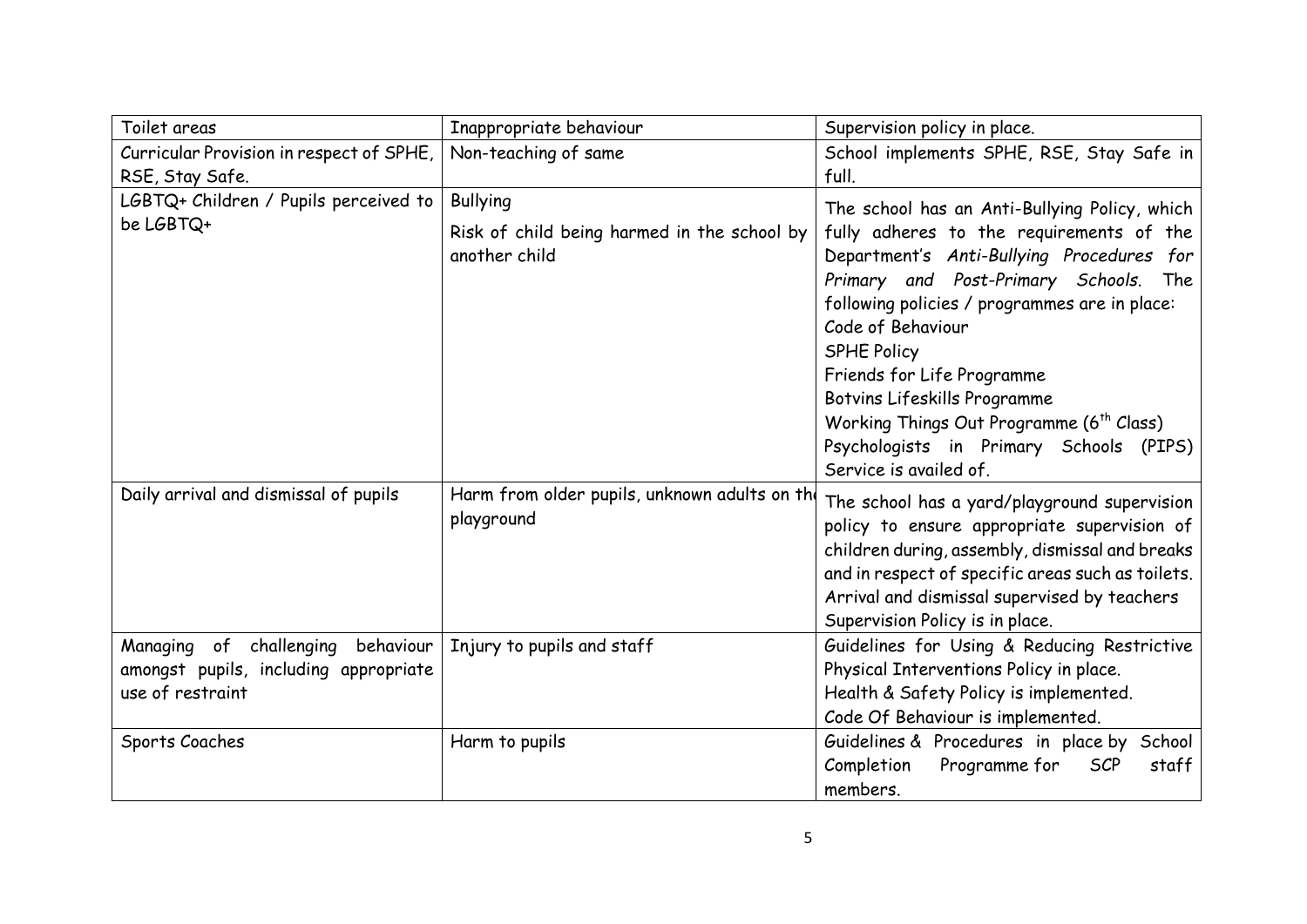| Toilet areas                                                                                         | Inappropriate behaviour                                                         | Supervision policy in place.                                                                                                                                                                                                                                                           |
|------------------------------------------------------------------------------------------------------|---------------------------------------------------------------------------------|----------------------------------------------------------------------------------------------------------------------------------------------------------------------------------------------------------------------------------------------------------------------------------------|
| Curricular Provision in respect of SPHE,                                                             | Non-teaching of same                                                            | School implements SPHE, RSE, Stay Safe in                                                                                                                                                                                                                                              |
| RSE, Stay Safe.                                                                                      |                                                                                 | full.                                                                                                                                                                                                                                                                                  |
| LGBTQ+ Children / Pupils perceived to<br>be LGBTQ+                                                   | <b>Bullying</b><br>Risk of child being harmed in the school by<br>another child | The school has an Anti-Bullying Policy, which<br>fully adheres to the requirements of the<br>Department's Anti-Bullying Procedures for<br>Primary and Post-Primary Schools. The<br>following policies / programmes are in place:                                                       |
|                                                                                                      |                                                                                 | Code of Behaviour<br>SPHE Policy<br>Friends for Life Programme<br>Botvins Lifeskills Programme<br>Working Things Out Programme (6 <sup>th</sup> Class)<br>Psychologists in Primary Schools<br>(PIPS)<br>Service is availed of.                                                         |
| Daily arrival and dismissal of pupils                                                                | Harm from older pupils, unknown adults on the<br>playground                     | The school has a yard/playground supervision<br>policy to ensure appropriate supervision of<br>children during, assembly, dismissal and breaks<br>and in respect of specific areas such as toilets.<br>Arrival and dismissal supervised by teachers<br>Supervision Policy is in place. |
| Managing of<br>behaviour<br>challenging<br>amongst pupils, including appropriate<br>use of restraint | Injury to pupils and staff                                                      | Guidelines for Using & Reducing Restrictive<br>Physical Interventions Policy in place.<br>Health & Safety Policy is implemented.<br>Code Of Behaviour is implemented.                                                                                                                  |
| Sports Coaches                                                                                       | Harm to pupils                                                                  | Guidelines & Procedures in place by School<br>Completion<br>Programme for<br><b>SCP</b><br>staff<br>members.                                                                                                                                                                           |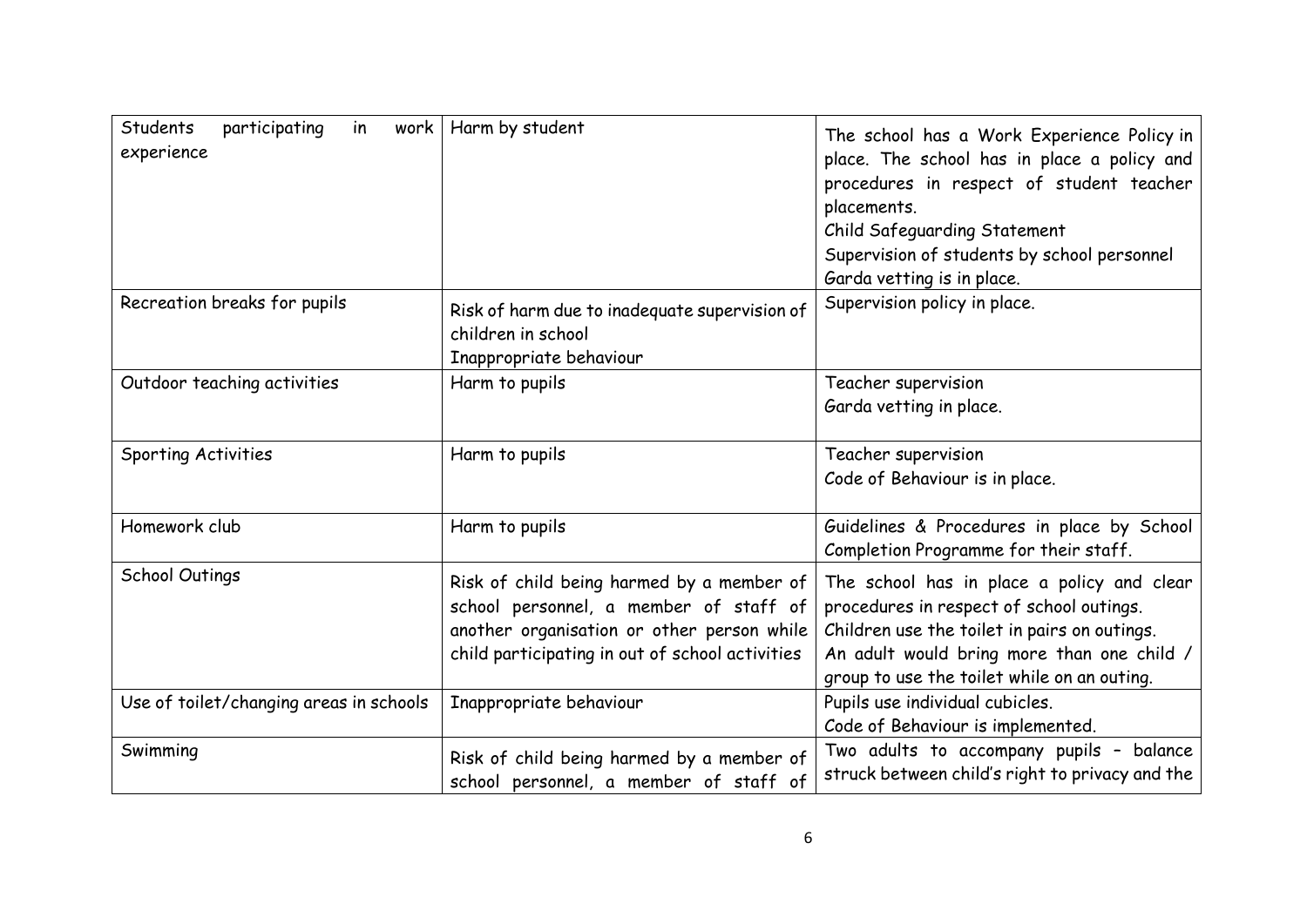| Students<br>participating<br>in<br>work<br>experience | Harm by student                                                                                                                                                                      | The school has a Work Experience Policy in<br>place. The school has in place a policy and<br>procedures in respect of student teacher<br>placements.<br>Child Safeguarding Statement<br>Supervision of students by school personnel<br>Garda vetting is in place. |
|-------------------------------------------------------|--------------------------------------------------------------------------------------------------------------------------------------------------------------------------------------|-------------------------------------------------------------------------------------------------------------------------------------------------------------------------------------------------------------------------------------------------------------------|
| Recreation breaks for pupils                          | Risk of harm due to inadequate supervision of<br>children in school<br>Inappropriate behaviour                                                                                       | Supervision policy in place.                                                                                                                                                                                                                                      |
| Outdoor teaching activities                           | Harm to pupils                                                                                                                                                                       | Teacher supervision<br>Garda vetting in place.                                                                                                                                                                                                                    |
| Sporting Activities                                   | Harm to pupils                                                                                                                                                                       | Teacher supervision<br>Code of Behaviour is in place.                                                                                                                                                                                                             |
| Homework club                                         | Harm to pupils                                                                                                                                                                       | Guidelines & Procedures in place by School<br>Completion Programme for their staff.                                                                                                                                                                               |
| School Outings                                        | Risk of child being harmed by a member of<br>school personnel, a member of staff of<br>another organisation or other person while<br>child participating in out of school activities | The school has in place a policy and clear<br>procedures in respect of school outings.<br>Children use the toilet in pairs on outings.<br>An adult would bring more than one child /<br>group to use the toilet while on an outing.                               |
| Use of toilet/changing areas in schools               | Inappropriate behaviour                                                                                                                                                              | Pupils use individual cubicles.<br>Code of Behaviour is implemented.                                                                                                                                                                                              |
| Swimming                                              | Risk of child being harmed by a member of<br>school personnel, a member of staff of                                                                                                  | Two adults to accompany pupils - balance<br>struck between child's right to privacy and the                                                                                                                                                                       |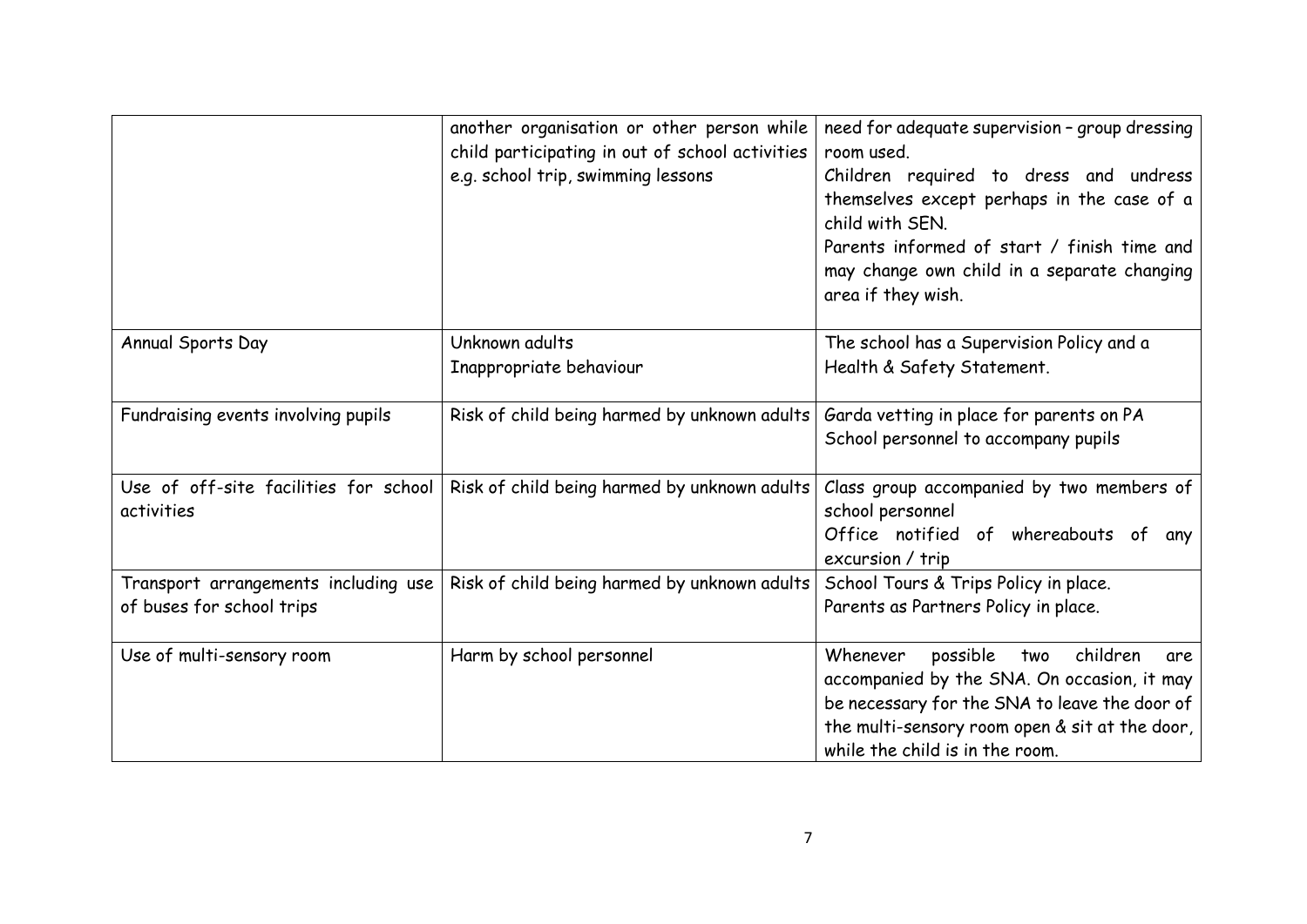|                                                                   | another organisation or other person while<br>child participating in out of school activities<br>e.g. school trip, swimming lessons | need for adequate supervision - group dressing<br>room used.<br>Children required to dress and undress<br>themselves except perhaps in the case of a<br>child with SEN.<br>Parents informed of start / finish time and<br>may change own child in a separate changing<br>area if they wish. |
|-------------------------------------------------------------------|-------------------------------------------------------------------------------------------------------------------------------------|---------------------------------------------------------------------------------------------------------------------------------------------------------------------------------------------------------------------------------------------------------------------------------------------|
| Annual Sports Day                                                 | Unknown adults<br>Inappropriate behaviour                                                                                           | The school has a Supervision Policy and a<br>Health & Safety Statement.                                                                                                                                                                                                                     |
| Fundraising events involving pupils                               | Risk of child being harmed by unknown adults                                                                                        | Garda vetting in place for parents on PA<br>School personnel to accompany pupils                                                                                                                                                                                                            |
| Use of off-site facilities for school<br>activities               | Risk of child being harmed by unknown adults                                                                                        | Class group accompanied by two members of<br>school personnel<br>Office notified of whereabouts of any<br>excursion / trip                                                                                                                                                                  |
| Transport arrangements including use<br>of buses for school trips | Risk of child being harmed by unknown adults                                                                                        | School Tours & Trips Policy in place.<br>Parents as Partners Policy in place.                                                                                                                                                                                                               |
| Use of multi-sensory room                                         | Harm by school personnel                                                                                                            | children<br>Whenever<br>possible<br>two<br>are<br>accompanied by the SNA. On occasion, it may<br>be necessary for the SNA to leave the door of<br>the multi-sensory room open & sit at the door,<br>while the child is in the room.                                                         |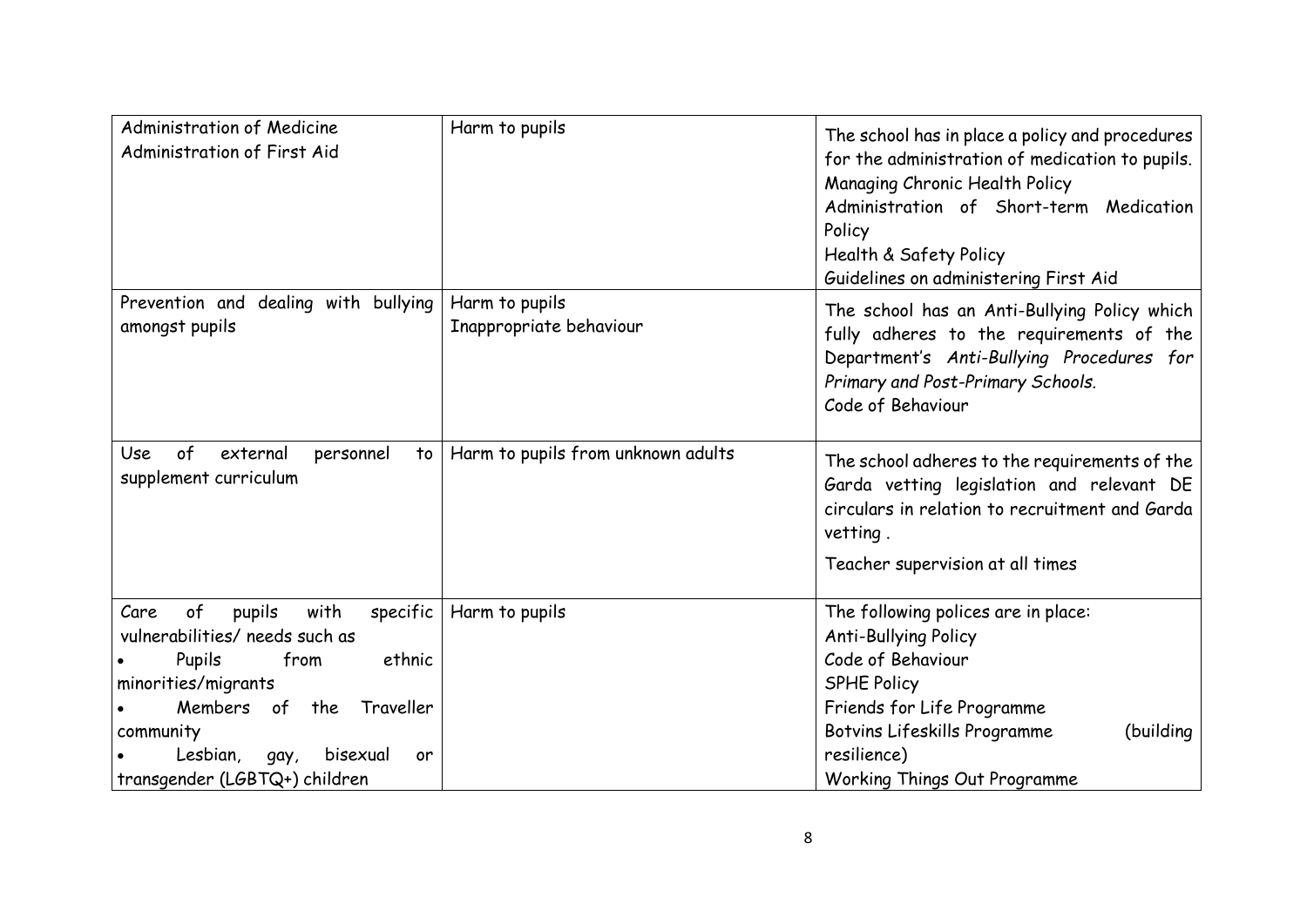| Administration of Medicine<br>Administration of First Aid                                                                                                          | Harm to pupils                            | The school has in place a policy and procedures<br>for the administration of medication to pupils.<br>Managing Chronic Health Policy<br>Administration of Short-term Medication<br>Policy<br>Health & Safety Policy<br>Guidelines on administering First Aid |
|--------------------------------------------------------------------------------------------------------------------------------------------------------------------|-------------------------------------------|--------------------------------------------------------------------------------------------------------------------------------------------------------------------------------------------------------------------------------------------------------------|
| Prevention and dealing with bullying<br>amongst pupils                                                                                                             | Harm to pupils<br>Inappropriate behaviour | The school has an Anti-Bullying Policy which<br>fully adheres to the requirements of the<br>Department's Anti-Bullying Procedures for<br>Primary and Post-Primary Schools.<br>Code of Behaviour                                                              |
| of<br>external<br>personnel<br>Use<br>to<br>supplement curriculum                                                                                                  | Harm to pupils from unknown adults        | The school adheres to the requirements of the<br>Garda vetting legislation and relevant DE<br>circulars in relation to recruitment and Garda<br>vetting.                                                                                                     |
|                                                                                                                                                                    |                                           | Teacher supervision at all times                                                                                                                                                                                                                             |
| of<br>pupils<br>Care<br>with<br>specific<br>vulnerabilities/ needs such as<br>from<br>ethnic<br>Pupils<br>minorities/migrants<br>Members<br>Traveller<br>of<br>the | Harm to pupils                            | The following polices are in place:<br><b>Anti-Bullying Policy</b><br>Code of Behaviour<br><b>SPHE Policy</b><br>Friends for Life Programme                                                                                                                  |
| community<br>Lesbian,<br>bisexual<br>gay,<br>or<br>transgender (LGBTQ+) children                                                                                   |                                           | (building<br>Botvins Lifeskills Programme<br>resilience)<br>Working Things Out Programme                                                                                                                                                                     |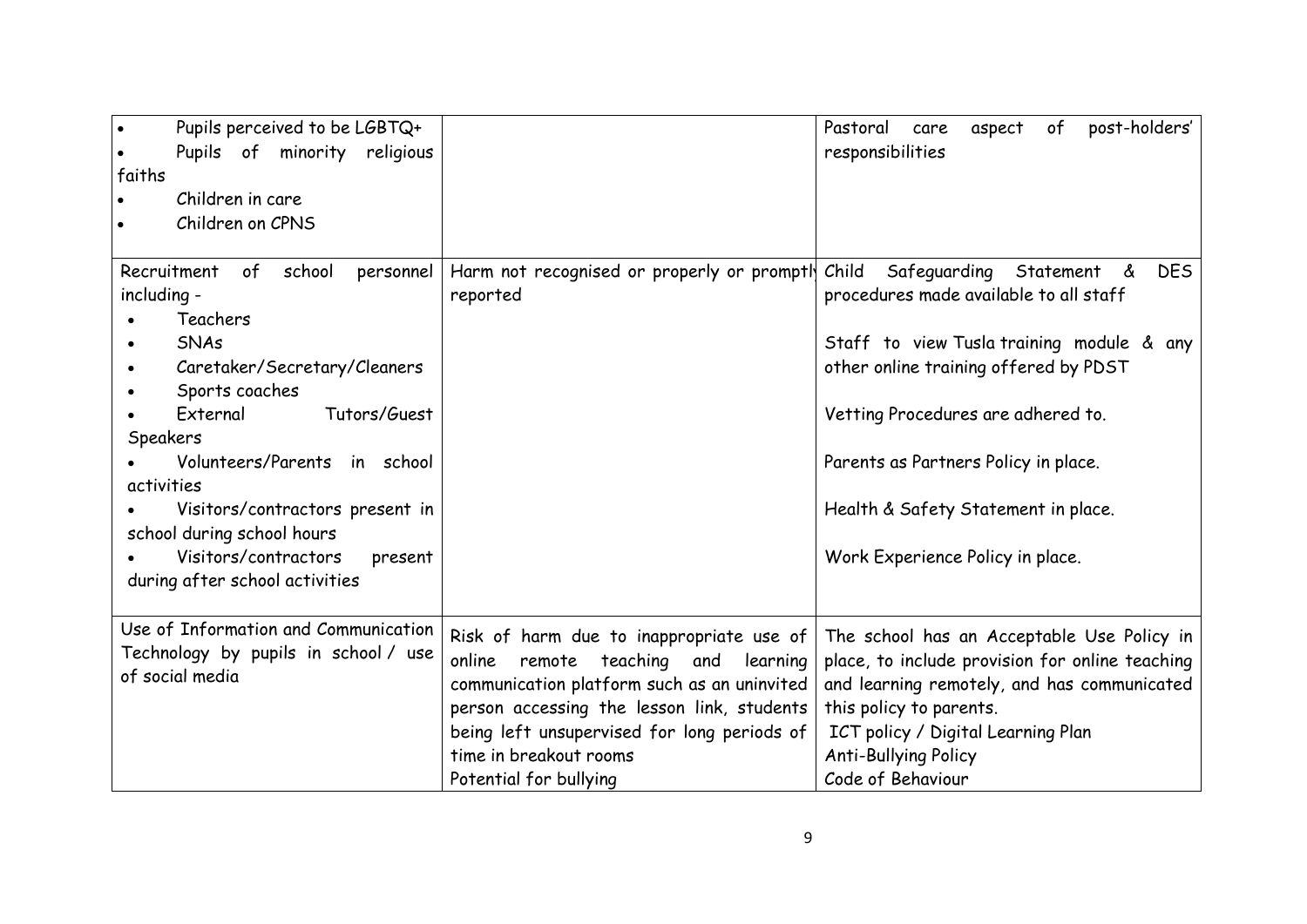| Pupils perceived to be LGBTQ+<br>Pupils of minority religious<br>faiths<br>Children in care<br>Children on CPNS                                                                                                                                                                                                                                                               |                                                                                                                                                                                                                                                                                             | post-holders'<br>Pastoral<br>of<br>aspect<br>care<br>responsibilities                                                                                                                                                                                                                                                                          |
|-------------------------------------------------------------------------------------------------------------------------------------------------------------------------------------------------------------------------------------------------------------------------------------------------------------------------------------------------------------------------------|---------------------------------------------------------------------------------------------------------------------------------------------------------------------------------------------------------------------------------------------------------------------------------------------|------------------------------------------------------------------------------------------------------------------------------------------------------------------------------------------------------------------------------------------------------------------------------------------------------------------------------------------------|
| Recruitment<br>of<br>school<br>personnel<br>including -<br>Teachers<br><b>SNAs</b><br>Caretaker/Secretary/Cleaners<br>$\bullet$<br>Sports coaches<br>External<br>Tutors/Guest<br>Speakers<br>Volunteers/Parents in school<br>activities<br>Visitors/contractors present in<br>school during school hours<br>Visitors/contractors<br>present<br>during after school activities | Harm not recognised or properly or promptly<br>reported                                                                                                                                                                                                                                     | Child<br>Safeguarding Statement<br><b>DES</b><br>් රැ<br>procedures made available to all staff<br>Staff to view Tusla training module & any<br>other online training offered by PDST<br>Vetting Procedures are adhered to.<br>Parents as Partners Policy in place.<br>Health & Safety Statement in place.<br>Work Experience Policy in place. |
| Use of Information and Communication<br>Technology by pupils in school / use<br>of social media                                                                                                                                                                                                                                                                               | Risk of harm due to inappropriate use of<br>teaching<br>online<br>remote<br>learning<br>and<br>communication platform such as an uninvited<br>person accessing the lesson link, students<br>being left unsupervised for long periods of<br>time in breakout rooms<br>Potential for bullying | The school has an Acceptable Use Policy in<br>place, to include provision for online teaching<br>and learning remotely, and has communicated<br>this policy to parents.<br>ICT policy / Digital Learning Plan<br><b>Anti-Bullying Policy</b><br>Code of Behaviour                                                                              |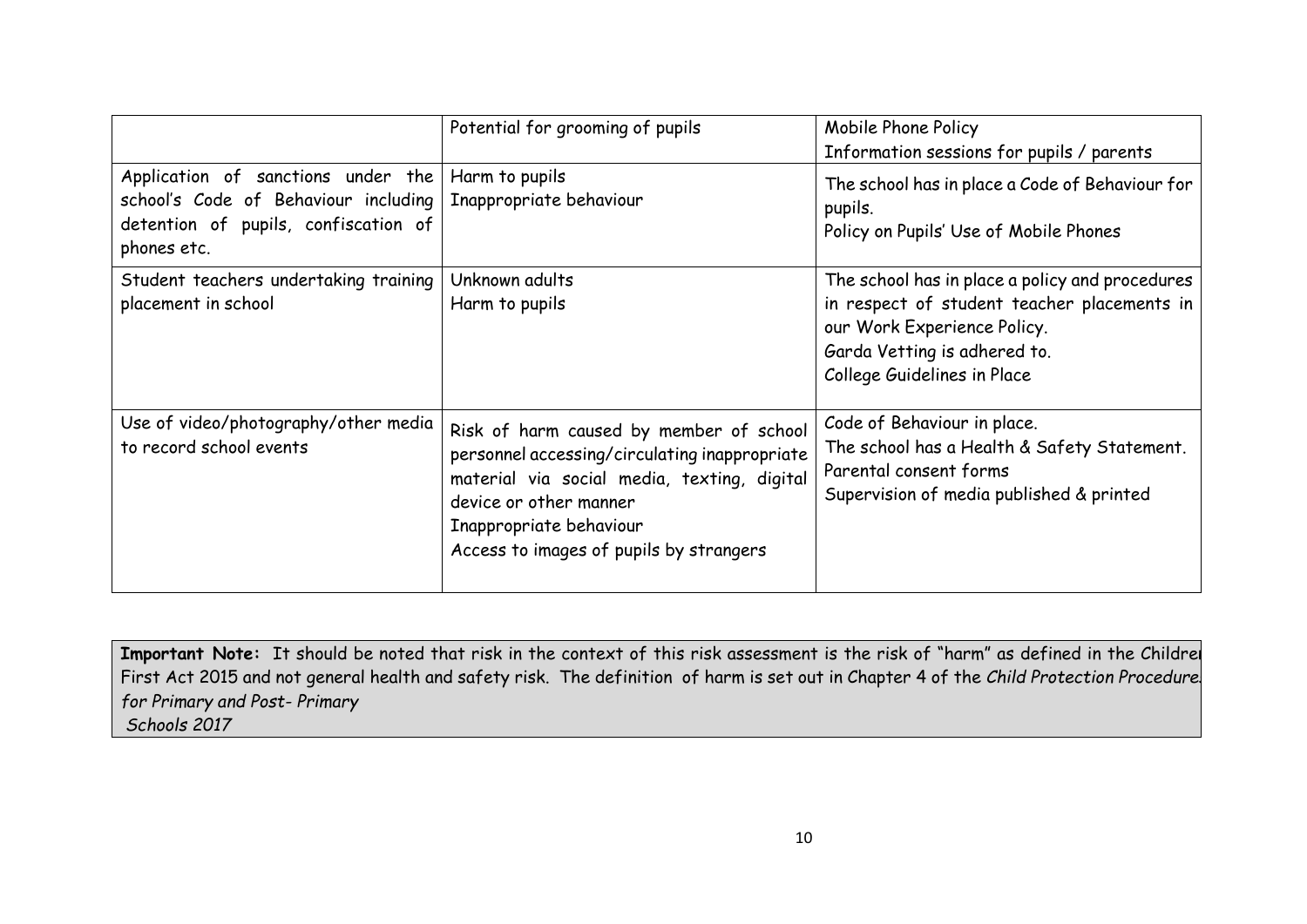|                                                                                                                                   | Potential for grooming of pupils                                                                                                                                                                                                        | Mobile Phone Policy<br>Information sessions for pupils / parents                                                                                                                             |
|-----------------------------------------------------------------------------------------------------------------------------------|-----------------------------------------------------------------------------------------------------------------------------------------------------------------------------------------------------------------------------------------|----------------------------------------------------------------------------------------------------------------------------------------------------------------------------------------------|
| Application of sanctions under the<br>school's Code of Behaviour including<br>detention of pupils, confiscation of<br>phones etc. | Harm to pupils<br>Inappropriate behaviour                                                                                                                                                                                               | The school has in place a Code of Behaviour for<br>pupils.<br>Policy on Pupils' Use of Mobile Phones                                                                                         |
| Student teachers undertaking training<br>placement in school                                                                      | Unknown adults<br>Harm to pupils                                                                                                                                                                                                        | The school has in place a policy and procedures<br>in respect of student teacher placements in<br>our Work Experience Policy.<br>Garda Vetting is adhered to.<br>College Guidelines in Place |
| Use of video/photography/other media<br>to record school events                                                                   | Risk of harm caused by member of school<br>personnel accessing/circulating inappropriate<br>material via social media, texting, digital<br>device or other manner<br>Inappropriate behaviour<br>Access to images of pupils by strangers | Code of Behaviour in place.<br>The school has a Health & Safety Statement.<br>Parental consent forms<br>Supervision of media published & printed                                             |

**Important Note:** It should be noted that risk in the context of this risk assessment is the risk of "harm" as defined in the Children First Act 2015 and not general health and safety risk. The definition of harm is set out in Chapter 4 of the *Child Protection Procedures for Primary and Post- Primary Schools 2017*